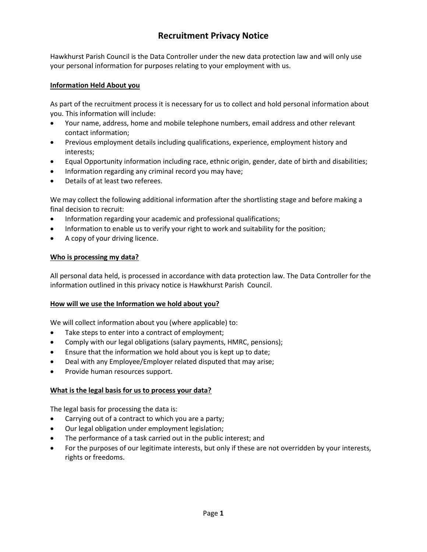# **Recruitment Privacy Notice**

Hawkhurst Parish Council is the Data Controller under the new data protection law and will only use your personal information for purposes relating to your employment with us.

#### **Information Held About you**

As part of the recruitment process it is necessary for us to collect and hold personal information about you. This information will include:

- Your name, address, home and mobile telephone numbers, email address and other relevant contact information;
- Previous employment details including qualifications, experience, employment history and interests;
- Equal Opportunity information including race, ethnic origin, gender, date of birth and disabilities;
- Information regarding any criminal record you may have;
- Details of at least two referees.

We may collect the following additional information after the shortlisting stage and before making a final decision to recruit:

- Information regarding your academic and professional qualifications;
- Information to enable us to verify your right to work and suitability for the position;
- A copy of your driving licence.

#### **Who is processing my data?**

All personal data held, is processed in accordance with data protection law. The Data Controller for the information outlined in this privacy notice is Hawkhurst Parish Council.

#### **How will we use the Information we hold about you?**

We will collect information about you (where applicable) to:

- Take steps to enter into a contract of employment;
- Comply with our legal obligations (salary payments, HMRC, pensions);
- Ensure that the information we hold about you is kept up to date;
- Deal with any Employee/Employer related disputed that may arise;
- Provide human resources support.

#### **What is the legal basis for us to process your data?**

The legal basis for processing the data is:

- Carrying out of a contract to which you are a party;
- Our legal obligation under employment legislation;
- The performance of a task carried out in the public interest; and
- For the purposes of our legitimate interests, but only if these are not overridden by your interests, rights or freedoms.